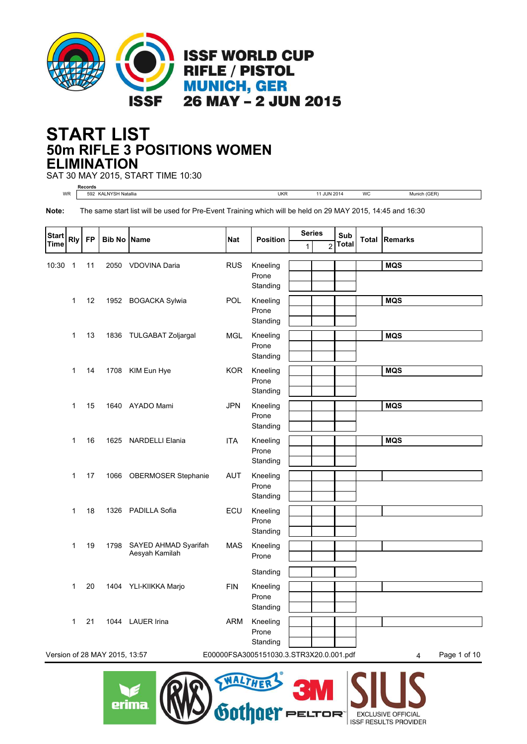

## **50m RIFLE 3 POSITIONS WOMEN START LIST ELIMINATION**

SAT 30 MAY 2015, START TIME 10:30

**Records** WR 592 KALNYSH Natallia UKR 11 JUN 2014 WC Munich (GER)

**Note:** The same start list will be used for Pre-Event Training which will be held on 29 MAY 2015, 14:45 and 16:30

| <b>Start</b> | <b>Rly</b>   | <b>FP</b> | <b>Bib No Name</b>            |                                        | <b>Nat</b> | <b>Position</b>                           | <b>Series</b> |                | Sub<br>Total |                   | <b>Total Remarks</b> |
|--------------|--------------|-----------|-------------------------------|----------------------------------------|------------|-------------------------------------------|---------------|----------------|--------------|-------------------|----------------------|
| Time         |              |           |                               |                                        |            |                                           | 1             | $\overline{2}$ |              |                   |                      |
| 10:30        | $\mathbf 1$  | 11        |                               | 2050 VDOVINA Daria                     | <b>RUS</b> | Kneeling<br>Prone<br>Standing             |               |                |              | <b>MQS</b>        |                      |
|              | 1            | 12        |                               | 1952 BOGACKA Sylwia                    | <b>POL</b> | Kneeling<br>Prone<br>Standing             |               |                |              | <b>MQS</b>        |                      |
|              | 1            | 13        |                               | 1836 TULGABAT Zoljargal                | <b>MGL</b> | Kneeling<br>Prone<br>Standing             |               |                |              | <b>MQS</b>        |                      |
|              | $\mathbf 1$  | 14        |                               | 1708 KIM Eun Hye                       | <b>KOR</b> | Kneeling<br>Prone<br>Standing             |               |                |              | <b>MQS</b>        |                      |
|              | $\mathbf{1}$ | 15        |                               | 1640 AYADO Mami                        | <b>JPN</b> | Kneeling<br>Prone<br>Standing             |               |                |              | <b>MQS</b>        |                      |
|              | $\mathbf{1}$ | 16        |                               | 1625 NARDELLI Elania                   | <b>ITA</b> | Kneeling<br>Prone<br>Standing             |               |                |              | <b>MQS</b>        |                      |
|              | 1            | 17        | 1066                          | <b>OBERMOSER Stephanie</b>             | <b>AUT</b> | Kneeling<br>Prone<br>Standing             |               |                |              |                   |                      |
|              | 1            | 18        |                               | 1326 PADILLA Sofia                     | ECU        | Kneeling<br>Prone<br>Standing             |               |                |              |                   |                      |
|              | 1            | 19        | 1798                          | SAYED AHMAD Syarifah<br>Aesyah Kamilah | <b>MAS</b> | Kneeling<br>Prone                         |               |                |              |                   |                      |
|              | 1            | 20        |                               | 1404 YLI-KIIKKA Marjo                  | <b>FIN</b> | Standing<br>Kneeling<br>Prone<br>Standing |               |                |              |                   |                      |
|              | 1            | 21        |                               | 1044 LAUER Irina                       | <b>ARM</b> | Kneeling<br>Prone<br>Standing             |               |                |              |                   |                      |
|              |              |           | Version of 28 MAY 2015, 13:57 |                                        |            | E00000FSA3005151030.3.STR3X20.0.001.pdf   |               |                |              | Page 1 of 10<br>4 |                      |
|              |              |           |                               |                                        |            |                                           |               |                |              |                   |                      |



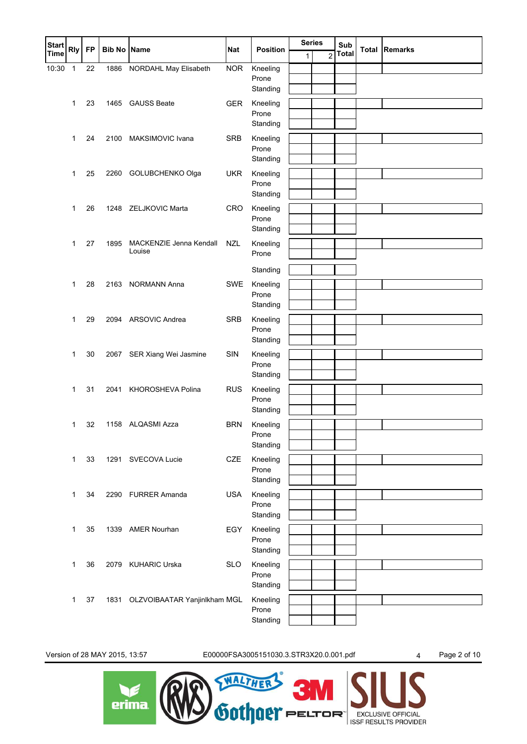| <b>Start</b> | <b>Rly</b> | <b>FP</b> | <b>Bib No</b> | <b>Name</b>                       | <b>Nat</b> | <b>Position</b>   |   | <b>Series</b><br>Sub |              | <b>Total Remarks</b> |
|--------------|------------|-----------|---------------|-----------------------------------|------------|-------------------|---|----------------------|--------------|----------------------|
| <b>Time</b>  |            |           |               |                                   |            |                   | 1 | $\overline{2}$       | <b>Total</b> |                      |
| 10:30        | 1          | 22        | 1886          | NORDAHL May Elisabeth             | <b>NOR</b> | Kneeling          |   |                      |              |                      |
|              |            |           |               |                                   |            | Prone<br>Standing |   |                      |              |                      |
|              | 1          | 23        | 1465          | <b>GAUSS Beate</b>                | <b>GER</b> | Kneeling          |   |                      |              |                      |
|              |            |           |               |                                   |            | Prone             |   |                      |              |                      |
|              |            |           |               |                                   |            | Standing          |   |                      |              |                      |
|              | 1          | 24        | 2100          | MAKSIMOVIC Ivana                  | <b>SRB</b> | Kneeling          |   |                      |              |                      |
|              |            |           |               |                                   |            | Prone             |   |                      |              |                      |
|              |            |           |               |                                   |            | Standing          |   |                      |              |                      |
|              | 1          | 25        | 2260          | GOLUBCHENKO Olga                  | <b>UKR</b> | Kneeling          |   |                      |              |                      |
|              |            |           |               |                                   |            | Prone<br>Standing |   |                      |              |                      |
|              |            |           |               |                                   |            |                   |   |                      |              |                      |
|              | 1          | 26        | 1248          | ZELJKOVIC Marta                   | CRO        | Kneeling<br>Prone |   |                      |              |                      |
|              |            |           |               |                                   |            | Standing          |   |                      |              |                      |
|              | 1          | 27        | 1895          | MACKENZIE Jenna Kendall           | <b>NZL</b> | Kneeling          |   |                      |              |                      |
|              |            |           |               | Louise                            |            | Prone             |   |                      |              |                      |
|              |            |           |               |                                   |            | Standing          |   |                      |              |                      |
|              | 1          | 28        | 2163          | <b>NORMANN Anna</b>               | <b>SWE</b> | Kneeling          |   |                      |              |                      |
|              |            |           |               |                                   |            | Prone             |   |                      |              |                      |
|              |            |           |               |                                   |            | Standing          |   |                      |              |                      |
|              | 1          | 29        |               | 2094 ARSOVIC Andrea               | <b>SRB</b> | Kneeling          |   |                      |              |                      |
|              |            |           |               |                                   |            | Prone             |   |                      |              |                      |
|              |            |           |               |                                   |            | Standing          |   |                      |              |                      |
|              | 1          | 30        | 2067          | SER Xiang Wei Jasmine             | SIN        | Kneeling          |   |                      |              |                      |
|              |            |           |               |                                   |            | Prone<br>Standing |   |                      |              |                      |
|              |            | 31        |               | KHOROSHEVA Polina                 | <b>RUS</b> | Kneeling          |   |                      |              |                      |
|              | 1          |           | 2041          |                                   |            | Prone             |   |                      |              |                      |
|              |            |           |               |                                   |            | Standing          |   |                      |              |                      |
|              | 1          | 32        |               | 1158 ALQASMI Azza                 | <b>BRN</b> | Kneeling          |   |                      |              |                      |
|              |            |           |               |                                   |            | Prone             |   |                      |              |                      |
|              |            |           |               |                                   |            | Standing          |   |                      |              |                      |
|              | 1          | 33        |               | 1291 SVECOVA Lucie                | <b>CZE</b> | Kneeling          |   |                      |              |                      |
|              |            |           |               |                                   |            | Prone<br>Standing |   |                      |              |                      |
|              |            |           |               |                                   |            |                   |   |                      |              |                      |
|              | 1          | 34        |               | 2290 FURRER Amanda                | <b>USA</b> | Kneeling<br>Prone |   |                      |              |                      |
|              |            |           |               |                                   |            | Standing          |   |                      |              |                      |
|              | 1          | 35        | 1339          | <b>AMER Nourhan</b>               | EGY        | Kneeling          |   |                      |              |                      |
|              |            |           |               |                                   |            | Prone             |   |                      |              |                      |
|              |            |           |               |                                   |            | Standing          |   |                      |              |                      |
|              | 1          | 36        | 2079          | <b>KUHARIC Urska</b>              | <b>SLO</b> | Kneeling          |   |                      |              |                      |
|              |            |           |               |                                   |            | Prone             |   |                      |              |                      |
|              |            |           |               |                                   |            | Standing          |   |                      |              |                      |
|              | 1          | 37        |               | 1831 OLZVOIBAATAR Yanjinlkham MGL |            | Kneeling<br>Prone |   |                      |              |                      |
|              |            |           |               |                                   |            | Standing          |   |                      |              |                      |
|              |            |           |               |                                   |            |                   |   |                      |              |                      |

Version of 28 MAY 2015, 13:57 E00000FSA3005151030.3.STR3X20.0.001.pdf 4 Page 2 of 10

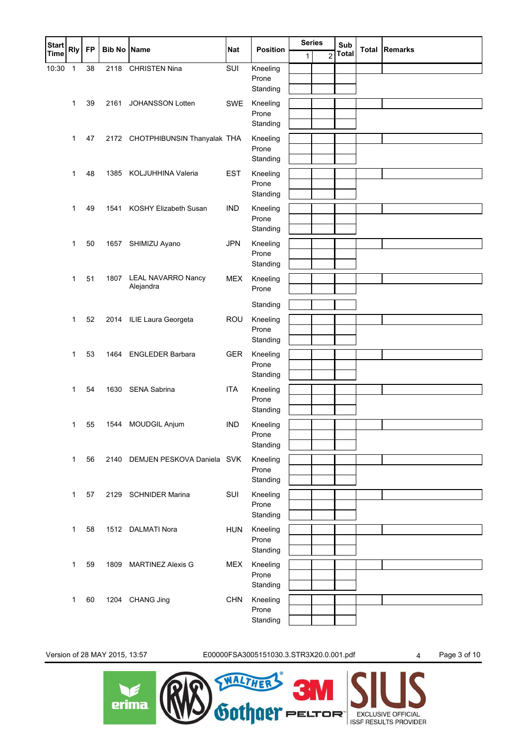| <b>Start</b> | <b>Rly</b>   | <b>FP</b> | <b>Bib No Name</b> |                                  | <b>Nat</b> | <b>Position</b>   | <b>Series</b> |                | Sub          | <b>Total Remarks</b> |
|--------------|--------------|-----------|--------------------|----------------------------------|------------|-------------------|---------------|----------------|--------------|----------------------|
| <b>Time</b>  |              |           |                    |                                  |            |                   | $\mathbf{1}$  | $\overline{2}$ | <b>Total</b> |                      |
| 10:30        | $\mathbf{1}$ | 38        | 2118               | <b>CHRISTEN Nina</b>             | SUI        | Kneeling          |               |                |              |                      |
|              |              |           |                    |                                  |            | Prone<br>Standing |               |                |              |                      |
|              |              | 39        |                    | <b>JOHANSSON Lotten</b>          | SWE        |                   |               |                |              |                      |
|              | 1            |           | 2161               |                                  |            | Kneeling<br>Prone |               |                |              |                      |
|              |              |           |                    |                                  |            | Standing          |               |                |              |                      |
|              | 1            | 47        |                    | 2172 CHOTPHIBUNSIN Thanyalak THA |            | Kneeling          |               |                |              |                      |
|              |              |           |                    |                                  |            | Prone             |               |                |              |                      |
|              |              |           |                    |                                  |            | Standing          |               |                |              |                      |
|              | 1            | 48        | 1385               | KOLJUHHINA Valeria               | <b>EST</b> | Kneeling          |               |                |              |                      |
|              |              |           |                    |                                  |            | Prone             |               |                |              |                      |
|              |              |           |                    |                                  |            | Standing          |               |                |              |                      |
|              | 1            | 49        | 1541               | KOSHY Elizabeth Susan            | <b>IND</b> | Kneeling<br>Prone |               |                |              |                      |
|              |              |           |                    |                                  |            | Standing          |               |                |              |                      |
|              | 1            | 50        | 1657               | SHIMIZU Ayano                    | <b>JPN</b> | Kneeling          |               |                |              |                      |
|              |              |           |                    |                                  |            | Prone             |               |                |              |                      |
|              |              |           |                    |                                  |            | Standing          |               |                |              |                      |
|              | $\mathbf 1$  | 51        | 1807               | <b>LEAL NAVARRO Nancy</b>        | <b>MEX</b> | Kneeling          |               |                |              |                      |
|              |              |           |                    | Alejandra                        |            | Prone             |               |                |              |                      |
|              |              |           |                    |                                  |            | Standing          |               |                |              |                      |
|              | 1            | 52        |                    | 2014 ILIE Laura Georgeta         | <b>ROU</b> | Kneeling          |               |                |              |                      |
|              |              |           |                    |                                  |            | Prone             |               |                |              |                      |
|              |              |           |                    |                                  |            | Standing          |               |                |              |                      |
|              | 1            | 53        | 1464               | <b>ENGLEDER Barbara</b>          | <b>GER</b> | Kneeling          |               |                |              |                      |
|              |              |           |                    |                                  |            | Prone             |               |                |              |                      |
|              |              |           |                    |                                  |            | Standing          |               |                |              |                      |
|              | $\mathbf 1$  | 54        | 1630               | SENA Sabrina                     | <b>ITA</b> | Kneeling<br>Prone |               |                |              |                      |
|              |              |           |                    |                                  |            | Standing          |               |                |              |                      |
|              | 1            | 55        | 1544               | <b>MOUDGIL Anjum</b>             | <b>IND</b> | Kneeling          |               |                |              |                      |
|              |              |           |                    |                                  |            | Prone             |               |                |              |                      |
|              |              |           |                    |                                  |            | Standing          |               |                |              |                      |
|              | $\mathbf{1}$ | 56        | 2140               | DEMJEN PESKOVA Daniela SVK       |            | Kneeling          |               |                |              |                      |
|              |              |           |                    |                                  |            | Prone             |               |                |              |                      |
|              |              |           |                    |                                  |            | Standing          |               |                |              |                      |
|              | 1            | 57        | 2129               | <b>SCHNIDER Marina</b>           | SUI        | Kneeling<br>Prone |               |                |              |                      |
|              |              |           |                    |                                  |            | Standing          |               |                |              |                      |
|              | 1            | 58        |                    | 1512 DALMATI Nora                | <b>HUN</b> | Kneeling          |               |                |              |                      |
|              |              |           |                    |                                  |            | Prone             |               |                |              |                      |
|              |              |           |                    |                                  |            | Standing          |               |                |              |                      |
|              | 1            | 59        | 1809               | <b>MARTINEZ Alexis G</b>         | <b>MEX</b> | Kneeling          |               |                |              |                      |
|              |              |           |                    |                                  |            | Prone             |               |                |              |                      |
|              |              |           |                    |                                  |            | Standing          |               |                |              |                      |
|              | 1            | 60        | 1204               | CHANG Jing                       | <b>CHN</b> | Kneeling          |               |                |              |                      |
|              |              |           |                    |                                  |            | Prone<br>Standing |               |                |              |                      |
|              |              |           |                    |                                  |            |                   |               |                |              |                      |

Version of 28 MAY 2015, 13:57 E00000FSA3005151030.3.STR3X20.0.001.pdf 4 Page 3 of 10

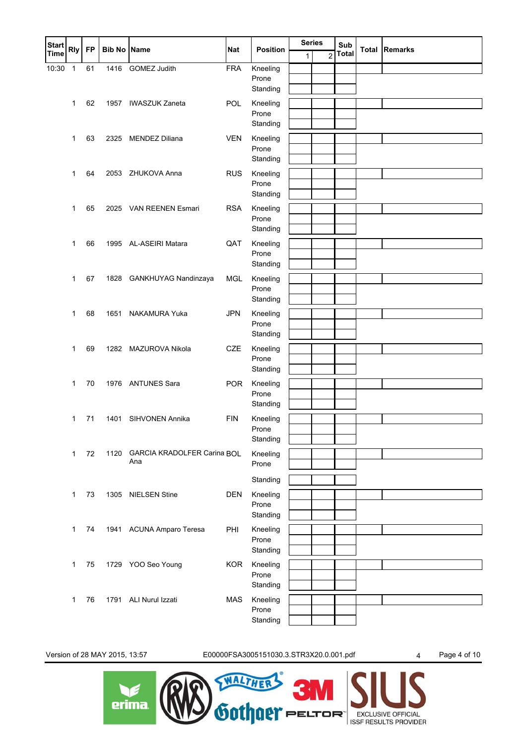| <b>Start</b> | <b>Rly</b>   | <b>FP</b> | <b>Bib No Name</b> |                                    | <b>Nat</b> | <b>Position</b>   | <b>Series</b> |                | Sub          | <b>Total Remarks</b> |
|--------------|--------------|-----------|--------------------|------------------------------------|------------|-------------------|---------------|----------------|--------------|----------------------|
| <b>Time</b>  |              |           |                    |                                    |            |                   | $\mathbf{1}$  | $\overline{2}$ | <b>Total</b> |                      |
| 10:30        | $\mathbf{1}$ | 61        | 1416               | GOMEZ Judith                       | <b>FRA</b> | Kneeling          |               |                |              |                      |
|              |              |           |                    |                                    |            | Prone<br>Standing |               |                |              |                      |
|              |              |           |                    |                                    |            |                   |               |                |              |                      |
|              | $\mathbf{1}$ | 62        | 1957               | <b>IWASZUK Zaneta</b>              | POL        | Kneeling<br>Prone |               |                |              |                      |
|              |              |           |                    |                                    |            | Standing          |               |                |              |                      |
|              | 1            | 63        | 2325               | <b>MENDEZ Diliana</b>              | <b>VEN</b> | Kneeling          |               |                |              |                      |
|              |              |           |                    |                                    |            | Prone             |               |                |              |                      |
|              |              |           |                    |                                    |            | Standing          |               |                |              |                      |
|              | 1            | 64        | 2053               | ZHUKOVA Anna                       | <b>RUS</b> | Kneeling          |               |                |              |                      |
|              |              |           |                    |                                    |            | Prone             |               |                |              |                      |
|              |              |           |                    |                                    |            | Standing          |               |                |              |                      |
|              | $\mathbf 1$  | 65        | 2025               | VAN REENEN Esmari                  | <b>RSA</b> | Kneeling          |               |                |              |                      |
|              |              |           |                    |                                    |            | Prone<br>Standing |               |                |              |                      |
|              | 1            | 66        |                    | 1995 AL-ASEIRI Matara              | QAT        | Kneeling          |               |                |              |                      |
|              |              |           |                    |                                    |            | Prone             |               |                |              |                      |
|              |              |           |                    |                                    |            | Standing          |               |                |              |                      |
|              | $\mathbf 1$  | 67        | 1828               | GANKHUYAG Nandinzaya               | <b>MGL</b> | Kneeling          |               |                |              |                      |
|              |              |           |                    |                                    |            | Prone             |               |                |              |                      |
|              |              |           |                    |                                    |            | Standing          |               |                |              |                      |
|              | 1            | 68        | 1651               | NAKAMURA Yuka                      | <b>JPN</b> | Kneeling          |               |                |              |                      |
|              |              |           |                    |                                    |            | Prone             |               |                |              |                      |
|              |              |           |                    |                                    |            | Standing          |               |                |              |                      |
|              | 1            | 69        | 1282               | MAZUROVA Nikola                    | CZE        | Kneeling          |               |                |              |                      |
|              |              |           |                    |                                    |            | Prone<br>Standing |               |                |              |                      |
|              |              |           |                    |                                    |            |                   |               |                |              |                      |
|              | $\mathbf{1}$ | 70        |                    | 1976 ANTUNES Sara                  | <b>POR</b> | Kneeling<br>Prone |               |                |              |                      |
|              |              |           |                    |                                    |            | Standing          |               |                |              |                      |
|              | 1            | 71        | 1401               | SIHVONEN Annika                    | <b>FIN</b> | Kneeling          |               |                |              |                      |
|              |              |           |                    |                                    |            | Prone             |               |                |              |                      |
|              |              |           |                    |                                    |            | Standing          |               |                |              |                      |
|              | $\mathbf{1}$ | 72        | 1120               | <b>GARCIA KRADOLFER Carina BOL</b> |            | Kneeling          |               |                |              |                      |
|              |              |           |                    | Ana                                |            | Prone             |               |                |              |                      |
|              |              |           |                    |                                    |            | Standing          |               |                |              |                      |
|              | $\mathbf{1}$ | 73        | 1305               | <b>NIELSEN Stine</b>               | <b>DEN</b> | Kneeling          |               |                |              |                      |
|              |              |           |                    |                                    |            | Prone             |               |                |              |                      |
|              |              |           |                    |                                    |            | Standing          |               |                |              |                      |
|              | $\mathbf{1}$ | 74        |                    | 1941 ACUNA Amparo Teresa           | PHI        | Kneeling          |               |                |              |                      |
|              |              |           |                    |                                    |            | Prone             |               |                |              |                      |
|              |              |           |                    |                                    |            | Standing          |               |                |              |                      |
|              | 1            | 75        | 1729               | YOO Seo Young                      | <b>KOR</b> | Kneeling          |               |                |              |                      |
|              |              |           |                    |                                    |            | Prone             |               |                |              |                      |
|              |              |           |                    |                                    |            | Standing          |               |                |              |                      |
|              | 1            | 76        | 1791               | ALI Nurul Izzati                   | <b>MAS</b> | Kneeling<br>Prone |               |                |              |                      |
|              |              |           |                    |                                    |            | Standing          |               |                |              |                      |
|              |              |           |                    |                                    |            |                   |               |                |              |                      |

Version of 28 MAY 2015, 13:57 E00000FSA3005151030.3.STR3X20.0.001.pdf 4 Page 4 of 10

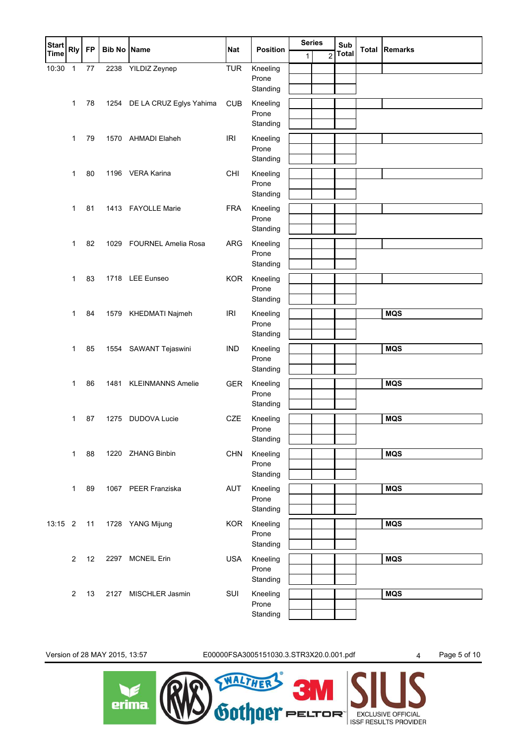| <b>Start</b> | <b>Rly</b>              | <b>FP</b> | <b>Bib No Name</b> |                              | <b>Nat</b> | <b>Position</b>   | <b>Series</b> |                | Sub          | <b>Total Remarks</b> |
|--------------|-------------------------|-----------|--------------------|------------------------------|------------|-------------------|---------------|----------------|--------------|----------------------|
| Time         |                         |           |                    |                              |            |                   | 1             | $\overline{2}$ | <b>Total</b> |                      |
| 10:30        | 1                       | $77 \,$   | 2238               | YILDIZ Zeynep                | <b>TUR</b> | Kneeling<br>Prone |               |                |              |                      |
|              |                         |           |                    |                              |            | Standing          |               |                |              |                      |
|              | 1                       | 78        |                    | 1254 DE LA CRUZ Eglys Yahima | CUB        | Kneeling          |               |                |              |                      |
|              |                         |           |                    |                              |            | Prone             |               |                |              |                      |
|              |                         |           |                    |                              |            | Standing          |               |                |              |                      |
|              | $\mathbf 1$             | 79        |                    | 1570 AHMADI Elaheh           | <b>IRI</b> | Kneeling          |               |                |              |                      |
|              |                         |           |                    |                              |            | Prone             |               |                |              |                      |
|              |                         |           |                    |                              |            | Standing          |               |                |              |                      |
|              | $\mathbf 1$             | 80        |                    | 1196 VERA Karina             | CHI        | Kneeling          |               |                |              |                      |
|              |                         |           |                    |                              |            | Prone<br>Standing |               |                |              |                      |
|              |                         |           |                    |                              |            |                   |               |                |              |                      |
|              | $\mathbf{1}$            | 81        |                    | 1413 FAYOLLE Marie           | <b>FRA</b> | Kneeling<br>Prone |               |                |              |                      |
|              |                         |           |                    |                              |            | Standing          |               |                |              |                      |
|              | $\mathbf{1}$            | 82        | 1029               | <b>FOURNEL Amelia Rosa</b>   | <b>ARG</b> | Kneeling          |               |                |              |                      |
|              |                         |           |                    |                              |            | Prone             |               |                |              |                      |
|              |                         |           |                    |                              |            | Standing          |               |                |              |                      |
|              | $\mathbf 1$             | 83        |                    | 1718 LEE Eunseo              | <b>KOR</b> | Kneeling          |               |                |              |                      |
|              |                         |           |                    |                              |            | Prone             |               |                |              |                      |
|              |                         |           |                    |                              |            | Standing          |               |                |              |                      |
|              | $\mathbf{1}$            | 84        |                    | 1579 KHEDMATI Najmeh         | <b>IRI</b> | Kneeling          |               |                |              | <b>MQS</b>           |
|              |                         |           |                    |                              |            | Prone             |               |                |              |                      |
|              |                         |           |                    |                              |            | Standing          |               |                |              |                      |
|              | 1                       | 85        | 1554               | SAWANT Tejaswini             | <b>IND</b> | Kneeling<br>Prone |               |                |              | <b>MQS</b>           |
|              |                         |           |                    |                              |            | Standing          |               |                |              |                      |
|              | $\mathbf{1}$            | 86        | 1481               | <b>KLEINMANNS Amelie</b>     | <b>GER</b> | Kneeling          |               |                |              | <b>MQS</b>           |
|              |                         |           |                    |                              |            | Prone             |               |                |              |                      |
|              |                         |           |                    |                              |            | Standing          |               |                |              |                      |
|              | $\mathbf{1}$            | 87        | 1275               | <b>DUDOVA Lucie</b>          | <b>CZE</b> | Kneeling          |               |                |              | <b>MQS</b>           |
|              |                         |           |                    |                              |            | Prone             |               |                |              |                      |
|              |                         |           |                    |                              |            | Standing          |               |                |              |                      |
|              | 1                       | 88        |                    | 1220 ZHANG Binbin            | <b>CHN</b> | Kneeling          |               |                |              | <b>MQS</b>           |
|              |                         |           |                    |                              |            | Prone<br>Standing |               |                |              |                      |
|              |                         |           |                    |                              |            |                   |               |                |              |                      |
|              | 1                       | 89        |                    | 1067 PEER Franziska          | <b>AUT</b> | Kneeling<br>Prone |               |                |              | <b>MQS</b>           |
|              |                         |           |                    |                              |            | Standing          |               |                |              |                      |
| 13:15 2      |                         | 11        | 1728               | YANG Mijung                  | <b>KOR</b> | Kneeling          |               |                |              | <b>MQS</b>           |
|              |                         |           |                    |                              |            | Prone             |               |                |              |                      |
|              |                         |           |                    |                              |            | Standing          |               |                |              |                      |
|              | $\overline{\mathbf{c}}$ | 12        |                    | 2297 MCNEIL Erin             | <b>USA</b> | Kneeling          |               |                |              | <b>MQS</b>           |
|              |                         |           |                    |                              |            | Prone             |               |                |              |                      |
|              |                         |           |                    |                              |            | Standing          |               |                |              |                      |
|              | $\overline{2}$          | 13        |                    | 2127 MISCHLER Jasmin         | SUI        | Kneeling          |               |                |              | <b>MQS</b>           |
|              |                         |           |                    |                              |            | Prone<br>Standing |               |                |              |                      |
|              |                         |           |                    |                              |            |                   |               |                |              |                      |

Version of 28 MAY 2015, 13:57 E00000FSA3005151030.3.STR3X20.0.001.pdf 4 Page 5 of 10

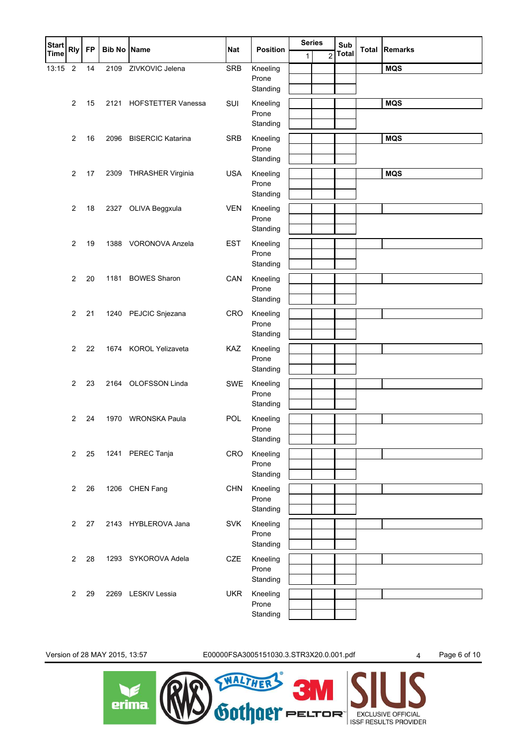| <b>Start</b> | <b>Rly</b>     | <b>FP</b> | <b>Bib No Name</b> |                           | <b>Nat</b> | <b>Position</b>   |              | <b>Series</b>  | Sub          | <b>Total Remarks</b> |
|--------------|----------------|-----------|--------------------|---------------------------|------------|-------------------|--------------|----------------|--------------|----------------------|
| <b>Time</b>  |                |           |                    |                           |            |                   | $\mathbf{1}$ | $\overline{2}$ | <b>Total</b> |                      |
| 13:15        | $\overline{2}$ | 14        | 2109               | ZIVKOVIC Jelena           | <b>SRB</b> | Kneeling<br>Prone |              |                |              | <b>MQS</b>           |
|              |                |           |                    |                           |            | Standing          |              |                |              |                      |
|              | $\overline{2}$ | 15        | 2121               | <b>HOFSTETTER Vanessa</b> | SUI        | Kneeling          |              |                |              | <b>MQS</b>           |
|              |                |           |                    |                           |            | Prone             |              |                |              |                      |
|              |                |           |                    |                           |            | Standing          |              |                |              |                      |
|              | $\overline{2}$ | 16        | 2096               | <b>BISERCIC Katarina</b>  | <b>SRB</b> | Kneeling          |              |                |              | <b>MQS</b>           |
|              |                |           |                    |                           |            | Prone             |              |                |              |                      |
|              |                |           |                    |                           |            | Standing          |              |                |              |                      |
|              | 2              | 17        | 2309               | THRASHER Virginia         | <b>USA</b> | Kneeling<br>Prone |              |                |              | <b>MQS</b>           |
|              |                |           |                    |                           |            | Standing          |              |                |              |                      |
|              | $\overline{2}$ | 18        | 2327               | OLIVA Beggxula            | <b>VEN</b> | Kneeling          |              |                |              |                      |
|              |                |           |                    |                           |            | Prone             |              |                |              |                      |
|              |                |           |                    |                           |            | Standing          |              |                |              |                      |
|              | 2              | 19        |                    | 1388 VORONOVA Anzela      | <b>EST</b> | Kneeling          |              |                |              |                      |
|              |                |           |                    |                           |            | Prone             |              |                |              |                      |
|              |                |           |                    |                           |            | Standing          |              |                |              |                      |
|              | $\overline{2}$ | 20        |                    | 1181 BOWES Sharon         | CAN        | Kneeling<br>Prone |              |                |              |                      |
|              |                |           |                    |                           |            | Standing          |              |                |              |                      |
|              | $\overline{2}$ | 21        |                    | 1240 PEJCIC Snjezana      | CRO        | Kneeling          |              |                |              |                      |
|              |                |           |                    |                           |            | Prone             |              |                |              |                      |
|              |                |           |                    |                           |            | Standing          |              |                |              |                      |
|              | 2              | 22        |                    | 1674 KOROL Yelizaveta     | KAZ        | Kneeling          |              |                |              |                      |
|              |                |           |                    |                           |            | Prone             |              |                |              |                      |
|              |                |           |                    |                           |            | Standing          |              |                |              |                      |
|              | $\overline{2}$ | 23        |                    | 2164 OLOFSSON Linda       | SWE        | Kneeling<br>Prone |              |                |              |                      |
|              |                |           |                    |                           |            | Standing          |              |                |              |                      |
|              | $\overline{2}$ | 24        | 1970               | <b>WRONSKA Paula</b>      | POL        | Kneeling          |              |                |              |                      |
|              |                |           |                    |                           |            | Prone             |              |                |              |                      |
|              |                |           |                    |                           |            | Standing          |              |                |              |                      |
|              | $\overline{c}$ | 25        |                    | 1241 PEREC Tanja          | <b>CRO</b> | Kneeling          |              |                |              |                      |
|              |                |           |                    |                           |            | Prone             |              |                |              |                      |
|              |                |           |                    |                           |            | Standing          |              |                |              |                      |
|              | $\overline{2}$ | 26        |                    | 1206 CHEN Fang            | <b>CHN</b> | Kneeling<br>Prone |              |                |              |                      |
|              |                |           |                    |                           |            | Standing          |              |                |              |                      |
|              | 2              | 27        |                    | 2143 HYBLEROVA Jana       | <b>SVK</b> | Kneeling          |              |                |              |                      |
|              |                |           |                    |                           |            | Prone             |              |                |              |                      |
|              |                |           |                    |                           |            | Standing          |              |                |              |                      |
|              | $\overline{2}$ | 28        |                    | 1293 SYKOROVA Adela       | CZE        | Kneeling          |              |                |              |                      |
|              |                |           |                    |                           |            | Prone             |              |                |              |                      |
|              |                |           |                    |                           |            | Standing          |              |                |              |                      |
|              | 2              | 29        |                    | 2269 LESKIV Lessia        | <b>UKR</b> | Kneeling<br>Prone |              |                |              |                      |
|              |                |           |                    |                           |            | Standing          |              |                |              |                      |
|              |                |           |                    |                           |            |                   |              |                |              |                      |

Version of 28 MAY 2015, 13:57 E00000FSA3005151030.3.STR3X20.0.001.pdf 4 Page 6 of 10

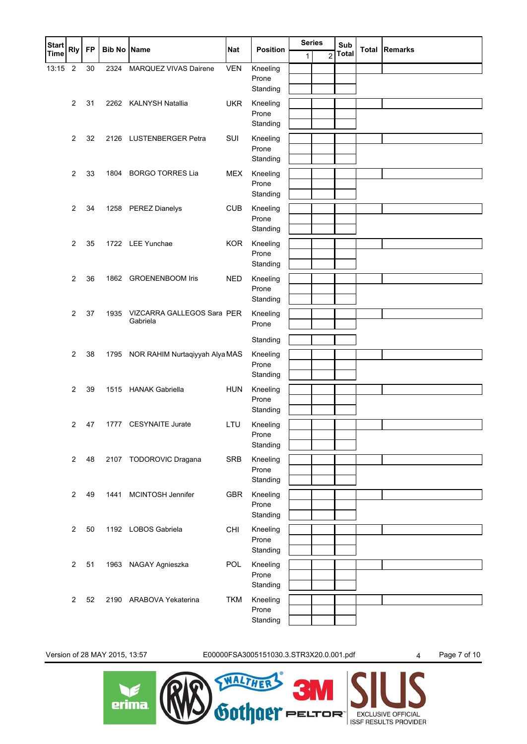| <b>Start</b> | <b>Rly</b>     | <b>FP</b> | <b>Bib No Name</b> |                                        | <b>Nat</b> | <b>Position</b>   |   | <b>Series</b><br>Sub |              | <b>Total Remarks</b> |
|--------------|----------------|-----------|--------------------|----------------------------------------|------------|-------------------|---|----------------------|--------------|----------------------|
| <b>Time</b>  |                |           |                    |                                        |            |                   | 1 | $\overline{2}$       | <b>Total</b> |                      |
| 13:15        | $\overline{2}$ | 30        | 2324               | MARQUEZ VIVAS Dairene                  | <b>VEN</b> | Kneeling          |   |                      |              |                      |
|              |                |           |                    |                                        |            | Prone<br>Standing |   |                      |              |                      |
|              | $\overline{2}$ | 31        |                    | 2262 KALNYSH Natallia                  | <b>UKR</b> | Kneeling          |   |                      |              |                      |
|              |                |           |                    |                                        |            | Prone             |   |                      |              |                      |
|              |                |           |                    |                                        |            | Standing          |   |                      |              |                      |
|              | $\overline{2}$ | 32        |                    | 2126 LUSTENBERGER Petra                | SUI        | Kneeling          |   |                      |              |                      |
|              |                |           |                    |                                        |            | Prone             |   |                      |              |                      |
|              |                |           |                    |                                        |            | Standing          |   |                      |              |                      |
|              | 2              | 33        |                    | 1804 BORGO TORRES Lia                  | <b>MEX</b> | Kneeling<br>Prone |   |                      |              |                      |
|              |                |           |                    |                                        |            | Standing          |   |                      |              |                      |
|              | $\overline{2}$ | 34        |                    | 1258 PEREZ Dianelys                    | <b>CUB</b> | Kneeling          |   |                      |              |                      |
|              |                |           |                    |                                        |            | Prone             |   |                      |              |                      |
|              |                |           |                    |                                        |            | Standing          |   |                      |              |                      |
|              | $\overline{2}$ | 35        |                    | 1722 LEE Yunchae                       | <b>KOR</b> | Kneeling          |   |                      |              |                      |
|              |                |           |                    |                                        |            | Prone             |   |                      |              |                      |
|              |                |           |                    |                                        |            | Standing          |   |                      |              |                      |
|              | $\overline{c}$ | 36        |                    | 1862 GROENENBOOM Iris                  | <b>NED</b> | Kneeling          |   |                      |              |                      |
|              |                |           |                    |                                        |            | Prone             |   |                      |              |                      |
|              |                |           |                    |                                        |            | Standing          |   |                      |              |                      |
|              | $\overline{2}$ | 37        | 1935               | VIZCARRA GALLEGOS Sara PER<br>Gabriela |            | Kneeling          |   |                      |              |                      |
|              |                |           |                    |                                        |            | Prone             |   |                      |              |                      |
|              |                |           |                    |                                        |            | Standing          |   |                      |              |                      |
|              | 2              | 38        | 1795               | NOR RAHIM Nurtaqiyyah Alya MAS         |            | Kneeling          |   |                      |              |                      |
|              |                |           |                    |                                        |            | Prone<br>Standing |   |                      |              |                      |
|              | $\overline{2}$ | 39        |                    | 1515 HANAK Gabriella                   | <b>HUN</b> | Kneeling          |   |                      |              |                      |
|              |                |           |                    |                                        |            | Prone             |   |                      |              |                      |
|              |                |           |                    |                                        |            | Standing          |   |                      |              |                      |
|              | 2              | 47        |                    | 1777 CESYNAITE Jurate                  | LTU        | Kneeling          |   |                      |              |                      |
|              |                |           |                    |                                        |            | Prone             |   |                      |              |                      |
|              |                |           |                    |                                        |            | Standing          |   |                      |              |                      |
|              | $\overline{2}$ | 48        |                    | 2107 TODOROVIC Dragana                 | <b>SRB</b> | Kneeling          |   |                      |              |                      |
|              |                |           |                    |                                        |            | Prone<br>Standing |   |                      |              |                      |
|              |                |           |                    |                                        |            |                   |   |                      |              |                      |
|              | $\overline{2}$ | 49        | 1441               | MCINTOSH Jennifer                      | <b>GBR</b> | Kneeling<br>Prone |   |                      |              |                      |
|              |                |           |                    |                                        |            | Standing          |   |                      |              |                      |
|              | $\overline{2}$ | 50        |                    | 1192 LOBOS Gabriela                    | <b>CHI</b> | Kneeling          |   |                      |              |                      |
|              |                |           |                    |                                        |            | Prone             |   |                      |              |                      |
|              |                |           |                    |                                        |            | Standing          |   |                      |              |                      |
|              | $\overline{2}$ | 51        | 1963               | NAGAY Agnieszka                        | <b>POL</b> | Kneeling          |   |                      |              |                      |
|              |                |           |                    |                                        |            | Prone             |   |                      |              |                      |
|              |                |           |                    |                                        |            | Standing          |   |                      |              |                      |
|              | $\overline{2}$ | 52        |                    | 2190 ARABOVA Yekaterina                | <b>TKM</b> | Kneeling          |   |                      |              |                      |
|              |                |           |                    |                                        |            | Prone<br>Standing |   |                      |              |                      |
|              |                |           |                    |                                        |            |                   |   |                      |              |                      |

Version of 28 MAY 2015, 13:57 E00000FSA3005151030.3.STR3X20.0.001.pdf 4 Page 7 of 10

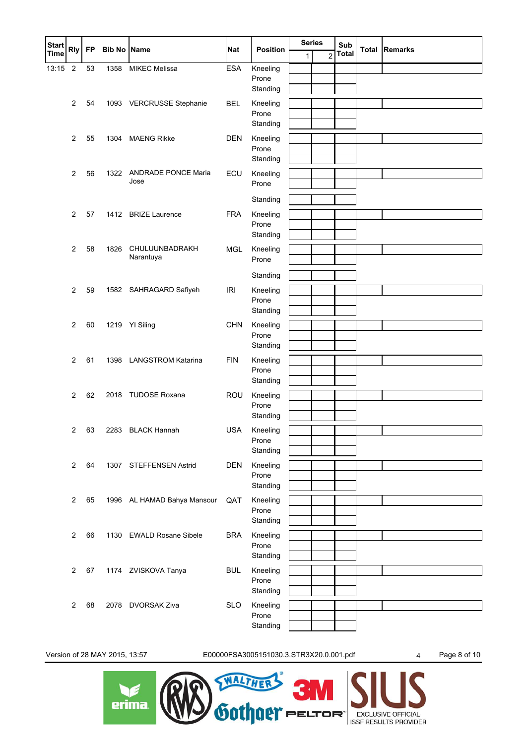| <b>Start</b> | <b>Rly</b>              | <b>FP</b> | <b>Bib No Name</b> |                                    | <b>Nat</b> | <b>Position</b>   |   | <b>Series</b><br>Sub |       | <b>Total Remarks</b> |
|--------------|-------------------------|-----------|--------------------|------------------------------------|------------|-------------------|---|----------------------|-------|----------------------|
| <b>Time</b>  |                         |           |                    |                                    |            |                   | 1 | $\overline{c}$       | Total |                      |
| 13:15        | $\overline{2}$          | 53        | 1358               | <b>MIKEC Melissa</b>               | <b>ESA</b> | Kneeling          |   |                      |       |                      |
|              |                         |           |                    |                                    |            | Prone<br>Standing |   |                      |       |                      |
|              | $\overline{2}$          | 54        |                    | 1093 VERCRUSSE Stephanie           | <b>BEL</b> | Kneeling          |   |                      |       |                      |
|              |                         |           |                    |                                    |            | Prone             |   |                      |       |                      |
|              |                         |           |                    |                                    |            | Standing          |   |                      |       |                      |
|              | $\overline{2}$          | 55        | 1304               | <b>MAENG Rikke</b>                 | <b>DEN</b> | Kneeling          |   |                      |       |                      |
|              |                         |           |                    |                                    |            | Prone             |   |                      |       |                      |
|              |                         |           |                    |                                    |            | Standing          |   |                      |       |                      |
|              | 2                       | 56        | 1322               | <b>ANDRADE PONCE Maria</b><br>Jose | ECU        | Kneeling<br>Prone |   |                      |       |                      |
|              |                         |           |                    |                                    |            |                   |   |                      |       |                      |
|              |                         |           |                    |                                    |            | Standing          |   |                      |       |                      |
|              | $\overline{2}$          | 57        |                    | 1412 BRIZE Laurence                | <b>FRA</b> | Kneeling<br>Prone |   |                      |       |                      |
|              |                         |           |                    |                                    |            | Standing          |   |                      |       |                      |
|              | $\overline{2}$          | 58        | 1826               | CHULUUNBADRAKH                     | <b>MGL</b> | Kneeling          |   |                      |       |                      |
|              |                         |           |                    | Narantuya                          |            | Prone             |   |                      |       |                      |
|              |                         |           |                    |                                    |            | Standing          |   |                      |       |                      |
|              | $\overline{2}$          | 59        |                    | 1582 SAHRAGARD Safiyeh             | IRI        | Kneeling          |   |                      |       |                      |
|              |                         |           |                    |                                    |            | Prone             |   |                      |       |                      |
|              |                         |           |                    |                                    |            | Standing          |   |                      |       |                      |
|              | $\overline{2}$          | 60        |                    | 1219 YI Siling                     | <b>CHN</b> | Kneeling          |   |                      |       |                      |
|              |                         |           |                    |                                    |            | Prone<br>Standing |   |                      |       |                      |
|              | 2                       | 61        | 1398               | <b>LANGSTROM Katarina</b>          | <b>FIN</b> | Kneeling          |   |                      |       |                      |
|              |                         |           |                    |                                    |            | Prone             |   |                      |       |                      |
|              |                         |           |                    |                                    |            | Standing          |   |                      |       |                      |
|              | $\overline{2}$          | 62        |                    | 2018 TUDOSE Roxana                 | ROU        | Kneeling          |   |                      |       |                      |
|              |                         |           |                    |                                    |            | Prone             |   |                      |       |                      |
|              |                         |           |                    |                                    |            | Standing          |   |                      |       |                      |
|              | $\overline{\mathbf{c}}$ | 63        | 2283               | <b>BLACK Hannah</b>                | <b>USA</b> | Kneeling<br>Prone |   |                      |       |                      |
|              |                         |           |                    |                                    |            | Standing          |   |                      |       |                      |
|              | $\overline{2}$          | 64        |                    | 1307 STEFFENSEN Astrid             | <b>DEN</b> | Kneeling          |   |                      |       |                      |
|              |                         |           |                    |                                    |            | Prone             |   |                      |       |                      |
|              |                         |           |                    |                                    |            | Standing          |   |                      |       |                      |
|              | $\overline{2}$          | 65        |                    | 1996 AL HAMAD Bahya Mansour        | QAT        | Kneeling          |   |                      |       |                      |
|              |                         |           |                    |                                    |            | Prone<br>Standing |   |                      |       |                      |
|              | $\overline{2}$          | 66        |                    | 1130 EWALD Rosane Sibele           | <b>BRA</b> | Kneeling          |   |                      |       |                      |
|              |                         |           |                    |                                    |            | Prone             |   |                      |       |                      |
|              |                         |           |                    |                                    |            | Standing          |   |                      |       |                      |
|              | $\overline{2}$          | 67        |                    | 1174 ZVISKOVA Tanya                | <b>BUL</b> | Kneeling          |   |                      |       |                      |
|              |                         |           |                    |                                    |            | Prone             |   |                      |       |                      |
|              |                         |           |                    |                                    |            | Standing          |   |                      |       |                      |
|              | $\overline{2}$          | 68        | 2078               | <b>DVORSAK Ziva</b>                | <b>SLO</b> | Kneeling<br>Prone |   |                      |       |                      |
|              |                         |           |                    |                                    |            | Standing          |   |                      |       |                      |
|              |                         |           |                    |                                    |            |                   |   |                      |       |                      |

Version of 28 MAY 2015, 13:57 E00000FSA3005151030.3.STR3X20.0.001.pdf 4 Page 8 of 10

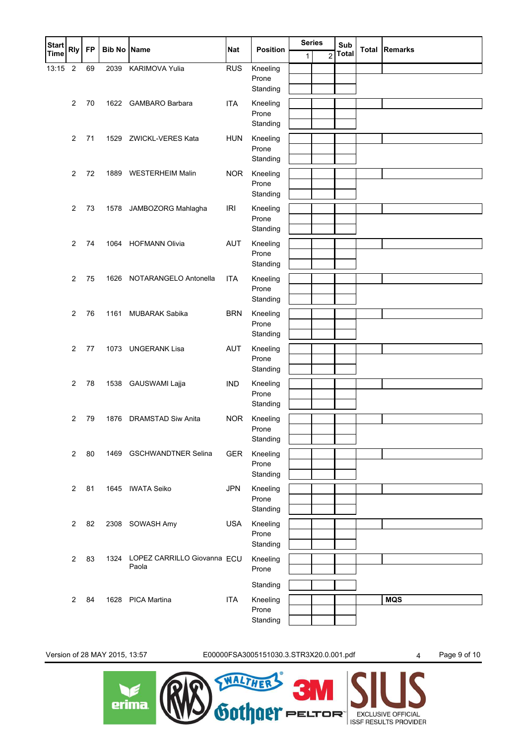| Start<br>Time | <b>Rly</b>     | <b>FP</b> | <b>Bib No Name</b> |                                      | <b>Nat</b> | <b>Position</b>   | <b>Series</b> |                | Sub          | <b>Total Remarks</b> |
|---------------|----------------|-----------|--------------------|--------------------------------------|------------|-------------------|---------------|----------------|--------------|----------------------|
|               |                |           |                    |                                      |            |                   | 1             | $\overline{2}$ | <b>Total</b> |                      |
| 13:15         | $\overline{2}$ | 69        | 2039               | KARIMOVA Yulia                       | <b>RUS</b> | Kneeling          |               |                |              |                      |
|               |                |           |                    |                                      |            | Prone<br>Standing |               |                |              |                      |
|               |                |           |                    |                                      |            |                   |               |                |              |                      |
|               | $\overline{2}$ | 70        | 1622               | <b>GAMBARO Barbara</b>               | <b>ITA</b> | Kneeling<br>Prone |               |                |              |                      |
|               |                |           |                    |                                      |            | Standing          |               |                |              |                      |
|               | $\overline{2}$ | 71        | 1529               | ZWICKL-VERES Kata                    | <b>HUN</b> | Kneeling          |               |                |              |                      |
|               |                |           |                    |                                      |            | Prone             |               |                |              |                      |
|               |                |           |                    |                                      |            | Standing          |               |                |              |                      |
|               | 2              | 72        | 1889               | <b>WESTERHEIM Malin</b>              | <b>NOR</b> | Kneeling          |               |                |              |                      |
|               |                |           |                    |                                      |            | Prone             |               |                |              |                      |
|               |                |           |                    |                                      |            | Standing          |               |                |              |                      |
|               | $\overline{2}$ | 73        | 1578               | JAMBOZORG Mahlagha                   | <b>IRI</b> | Kneeling          |               |                |              |                      |
|               |                |           |                    |                                      |            | Prone             |               |                |              |                      |
|               |                |           |                    |                                      |            | Standing          |               |                |              |                      |
|               | 2              | 74        | 1064               | <b>HOFMANN Olivia</b>                | <b>AUT</b> | Kneeling          |               |                |              |                      |
|               |                |           |                    |                                      |            | Prone             |               |                |              |                      |
|               |                |           |                    |                                      |            | Standing          |               |                |              |                      |
|               | $\overline{2}$ | 75        | 1626               | NOTARANGELO Antonella                | <b>ITA</b> | Kneeling          |               |                |              |                      |
|               |                |           |                    |                                      |            | Prone             |               |                |              |                      |
|               |                |           |                    |                                      |            | Standing          |               |                |              |                      |
|               | $\overline{2}$ | 76        | 1161               | MUBARAK Sabika                       | <b>BRN</b> | Kneeling          |               |                |              |                      |
|               |                |           |                    |                                      |            | Prone             |               |                |              |                      |
|               |                |           |                    |                                      |            | Standing          |               |                |              |                      |
|               | 2              | 77        | 1073               | <b>UNGERANK Lisa</b>                 | <b>AUT</b> | Kneeling          |               |                |              |                      |
|               |                |           |                    |                                      |            | Prone<br>Standing |               |                |              |                      |
|               |                |           |                    |                                      |            |                   |               |                |              |                      |
|               | $\overline{2}$ | 78        | 1538               | GAUSWAMI Lajja                       | <b>IND</b> | Kneeling<br>Prone |               |                |              |                      |
|               |                |           |                    |                                      |            | Standing          |               |                |              |                      |
|               | $\overline{2}$ | 79        | 1876               | <b>DRAMSTAD Siw Anita</b>            | <b>NOR</b> | Kneeling          |               |                |              |                      |
|               |                |           |                    |                                      |            | Prone             |               |                |              |                      |
|               |                |           |                    |                                      |            | Standing          |               |                |              |                      |
|               | $\overline{2}$ | 80        |                    | 1469 GSCHWANDTNER Selina             | GER        | Kneeling          |               |                |              |                      |
|               |                |           |                    |                                      |            | Prone             |               |                |              |                      |
|               |                |           |                    |                                      |            | Standing          |               |                |              |                      |
|               | 2              | 81        |                    | 1645 IWATA Seiko                     | <b>JPN</b> | Kneeling          |               |                |              |                      |
|               |                |           |                    |                                      |            | Prone             |               |                |              |                      |
|               |                |           |                    |                                      |            | Standing          |               |                |              |                      |
|               | 2              | 82        | 2308               | SOWASH Amy                           | <b>USA</b> | Kneeling          |               |                |              |                      |
|               |                |           |                    |                                      |            | Prone             |               |                |              |                      |
|               |                |           |                    |                                      |            | Standing          |               |                |              |                      |
|               | $\overline{2}$ | 83        | 1324               | LOPEZ CARRILLO Giovanna ECU<br>Paola |            | Kneeling          |               |                |              |                      |
|               |                |           |                    |                                      |            | Prone             |               |                |              |                      |
|               |                |           |                    |                                      |            | Standing          |               |                |              |                      |
|               | 2              | 84        | 1628               | <b>PICA Martina</b>                  | <b>ITA</b> | Kneeling          |               |                |              | <b>MQS</b>           |
|               |                |           |                    |                                      |            | Prone             |               |                |              |                      |
|               |                |           |                    |                                      |            | Standing          |               |                |              |                      |

Version of 28 MAY 2015, 13:57 E00000FSA3005151030.3.STR3X20.0.001.pdf 4 Page 9 of 10